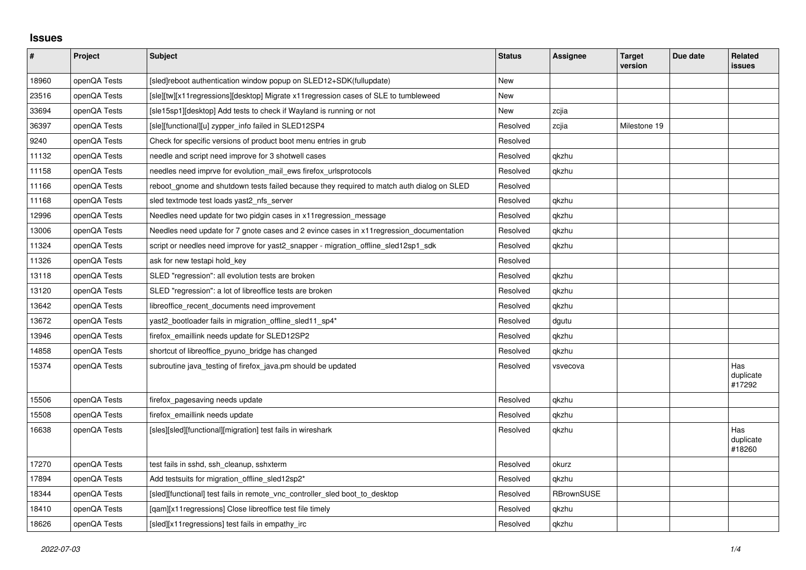## **Issues**

| $\pmb{\#}$ | Project      | <b>Subject</b>                                                                            | <b>Status</b> | Assignee          | <b>Target</b><br>version | Due date | <b>Related</b><br><b>issues</b> |
|------------|--------------|-------------------------------------------------------------------------------------------|---------------|-------------------|--------------------------|----------|---------------------------------|
| 18960      | openQA Tests | [sled]reboot authentication window popup on SLED12+SDK(fullupdate)                        | <b>New</b>    |                   |                          |          |                                 |
| 23516      | openQA Tests | [sle][tw][x11regressions][desktop] Migrate x11regression cases of SLE to tumbleweed       | New           |                   |                          |          |                                 |
| 33694      | openQA Tests | [sle15sp1][desktop] Add tests to check if Wayland is running or not                       | New           | zcjia             |                          |          |                                 |
| 36397      | openQA Tests | [sle][functional][u] zypper_info failed in SLED12SP4                                      | Resolved      | zcjia             | Milestone 19             |          |                                 |
| 9240       | openQA Tests | Check for specific versions of product boot menu entries in grub                          | Resolved      |                   |                          |          |                                 |
| 11132      | openQA Tests | needle and script need improve for 3 shotwell cases                                       | Resolved      | gkzhu             |                          |          |                                 |
| 11158      | openQA Tests | needles need imprve for evolution_mail_ews firefox_urlsprotocols                          | Resolved      | qkzhu             |                          |          |                                 |
| 11166      | openQA Tests | reboot gnome and shutdown tests failed because they required to match auth dialog on SLED | Resolved      |                   |                          |          |                                 |
| 11168      | openQA Tests | sled textmode test loads yast2 nfs server                                                 | Resolved      | gkzhu             |                          |          |                                 |
| 12996      | openQA Tests | Needles need update for two pidgin cases in x11 regression_message                        | Resolved      | qkzhu             |                          |          |                                 |
| 13006      | openQA Tests | Needles need update for 7 gnote cases and 2 evince cases in x11 regression documentation  | Resolved      | qkzhu             |                          |          |                                 |
| 11324      | openQA Tests | script or needles need improve for yast2_snapper - migration_offline_sled12sp1_sdk        | Resolved      | qkzhu             |                          |          |                                 |
| 11326      | openQA Tests | ask for new testapi hold key                                                              | Resolved      |                   |                          |          |                                 |
| 13118      | openQA Tests | SLED "regression": all evolution tests are broken                                         | Resolved      | qkzhu             |                          |          |                                 |
| 13120      | openQA Tests | SLED "regression": a lot of libreoffice tests are broken                                  | Resolved      | qkzhu             |                          |          |                                 |
| 13642      | openQA Tests | libreoffice recent documents need improvement                                             | Resolved      | qkzhu             |                          |          |                                 |
| 13672      | openQA Tests | yast2_bootloader fails in migration_offline_sled11_sp4*                                   | Resolved      | dgutu             |                          |          |                                 |
| 13946      | openQA Tests | firefox_emaillink needs update for SLED12SP2                                              | Resolved      | qkzhu             |                          |          |                                 |
| 14858      | openQA Tests | shortcut of libreoffice pyuno bridge has changed                                          | Resolved      | qkzhu             |                          |          |                                 |
| 15374      | openQA Tests | subroutine java_testing of firefox_java.pm should be updated                              | Resolved      | vsvecova          |                          |          | Has<br>duplicate<br>#17292      |
| 15506      | openQA Tests | firefox_pagesaving needs update                                                           | Resolved      | qkzhu             |                          |          |                                 |
| 15508      | openQA Tests | firefox emaillink needs update                                                            | Resolved      | qkzhu             |                          |          |                                 |
| 16638      | openQA Tests | [sles][sled][functional][migration] test fails in wireshark                               | Resolved      | qkzhu             |                          |          | Has<br>duplicate<br>#18260      |
| 17270      | openQA Tests | test fails in sshd, ssh_cleanup, sshxterm                                                 | Resolved      | okurz             |                          |          |                                 |
| 17894      | openQA Tests | Add testsuits for migration_offline_sled12sp2*                                            | Resolved      | gkzhu             |                          |          |                                 |
| 18344      | openQA Tests | [sled][functional] test fails in remote vnc controller sled boot to desktop               | Resolved      | <b>RBrownSUSE</b> |                          |          |                                 |
| 18410      | openQA Tests | [gam][x11 regressions] Close libreoffice test file timely                                 | Resolved      | qkzhu             |                          |          |                                 |
| 18626      | openQA Tests | [sled][x11 regressions] test fails in empathy irc                                         | Resolved      | gkzhu             |                          |          |                                 |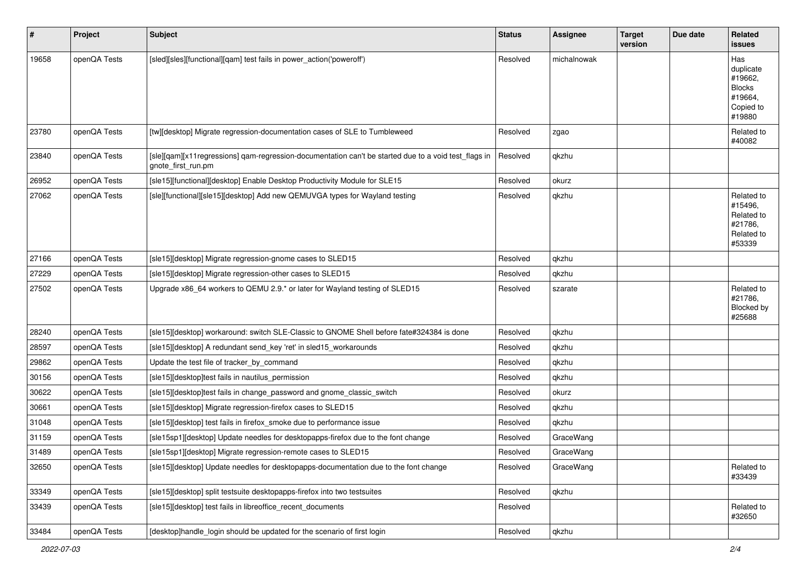| $\pmb{\#}$ | Project      | <b>Subject</b>                                                                                                             | <b>Status</b> | <b>Assignee</b> | <b>Target</b><br>version | Due date | Related<br><b>issues</b>                                                       |
|------------|--------------|----------------------------------------------------------------------------------------------------------------------------|---------------|-----------------|--------------------------|----------|--------------------------------------------------------------------------------|
| 19658      | openQA Tests | [sled][sles][functional][qam] test fails in power_action('poweroff')                                                       | Resolved      | michalnowak     |                          |          | Has<br>duplicate<br>#19662,<br><b>Blocks</b><br>#19664,<br>Copied to<br>#19880 |
| 23780      | openQA Tests | [tw][desktop] Migrate regression-documentation cases of SLE to Tumbleweed                                                  | Resolved      | zgao            |                          |          | Related to<br>#40082                                                           |
| 23840      | openQA Tests | [sle][qam][x11regressions] qam-regression-documentation can't be started due to a void test_flags in<br>gnote_first_run.pm | Resolved      | qkzhu           |                          |          |                                                                                |
| 26952      | openQA Tests | [sle15][functional][desktop] Enable Desktop Productivity Module for SLE15                                                  | Resolved      | okurz           |                          |          |                                                                                |
| 27062      | openQA Tests | [sle][functional][sle15][desktop] Add new QEMUVGA types for Wayland testing                                                | Resolved      | qkzhu           |                          |          | Related to<br>#15496,<br>Related to<br>#21786,<br>Related to<br>#53339         |
| 27166      | openQA Tests | [sle15][desktop] Migrate regression-gnome cases to SLED15                                                                  | Resolved      | qkzhu           |                          |          |                                                                                |
| 27229      | openQA Tests | [sle15][desktop] Migrate regression-other cases to SLED15                                                                  | Resolved      | qkzhu           |                          |          |                                                                                |
| 27502      | openQA Tests | Upgrade x86_64 workers to QEMU 2.9.* or later for Wayland testing of SLED15                                                | Resolved      | szarate         |                          |          | Related to<br>#21786.<br>Blocked by<br>#25688                                  |
| 28240      | openQA Tests | [sle15][desktop] workaround: switch SLE-Classic to GNOME Shell before fate#324384 is done                                  | Resolved      | qkzhu           |                          |          |                                                                                |
| 28597      | openQA Tests | [sle15][desktop] A redundant send_key 'ret' in sled15_workarounds                                                          | Resolved      | qkzhu           |                          |          |                                                                                |
| 29862      | openQA Tests | Update the test file of tracker_by_command                                                                                 | Resolved      | qkzhu           |                          |          |                                                                                |
| 30156      | openQA Tests | [sle15][desktop]test fails in nautilus_permission                                                                          | Resolved      | qkzhu           |                          |          |                                                                                |
| 30622      | openQA Tests | [sle15][desktop]test fails in change_password and gnome_classic_switch                                                     | Resolved      | okurz           |                          |          |                                                                                |
| 30661      | openQA Tests | [sle15][desktop] Migrate regression-firefox cases to SLED15                                                                | Resolved      | qkzhu           |                          |          |                                                                                |
| 31048      | openQA Tests | [sle15][desktop] test fails in firefox_smoke due to performance issue                                                      | Resolved      | qkzhu           |                          |          |                                                                                |
| 31159      | openQA Tests | [sle15sp1][desktop] Update needles for desktopapps-firefox due to the font change                                          | Resolved      | GraceWang       |                          |          |                                                                                |
| 31489      | openQA Tests | [sle15sp1][desktop] Migrate regression-remote cases to SLED15                                                              | Resolved      | GraceWang       |                          |          |                                                                                |
| 32650      | openQA Tests | [sle15][desktop] Update needles for desktopapps-documentation due to the font change                                       | Resolved      | GraceWang       |                          |          | Related to<br>#33439                                                           |
| 33349      | openQA Tests | [sle15][desktop] split testsuite desktopapps-firefox into two testsuites                                                   | Resolved      | qkzhu           |                          |          |                                                                                |
| 33439      | openQA Tests | [sle15][desktop] test fails in libreoffice_recent_documents                                                                | Resolved      |                 |                          |          | Related to<br>#32650                                                           |
| 33484      | openQA Tests | [desktop]handle_login should be updated for the scenario of first login                                                    | Resolved      | qkzhu           |                          |          |                                                                                |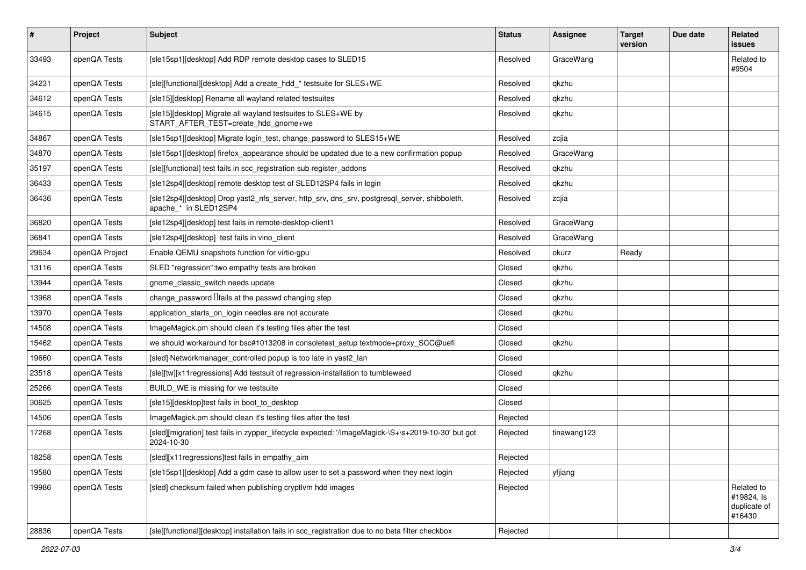| #     | <b>Project</b> | <b>Subject</b>                                                                                                        | <b>Status</b> | <b>Assignee</b> | <b>Target</b><br>version | Due date | Related<br><b>issues</b>                           |
|-------|----------------|-----------------------------------------------------------------------------------------------------------------------|---------------|-----------------|--------------------------|----------|----------------------------------------------------|
| 33493 | openQA Tests   | [sle15sp1][desktop] Add RDP remote desktop cases to SLED15                                                            | Resolved      | GraceWang       |                          |          | Related to<br>#9504                                |
| 34231 | openQA Tests   | [sle][functional][desktop] Add a create hdd * testsuite for SLES+WE                                                   | Resolved      | qkzhu           |                          |          |                                                    |
| 34612 | openQA Tests   | [sle15][desktop] Rename all wayland related testsuites                                                                | Resolved      | qkzhu           |                          |          |                                                    |
| 34615 | openQA Tests   | [sle15][desktop] Migrate all wayland testsuites to SLES+WE by<br>START_AFTER_TEST=create_hdd_gnome+we                 | Resolved      | qkzhu           |                          |          |                                                    |
| 34867 | openQA Tests   | [sle15sp1][desktop] Migrate login test, change password to SLES15+WE                                                  | Resolved      | zcjia           |                          |          |                                                    |
| 34870 | openQA Tests   | [sle15sp1][desktop] firefox_appearance should be updated due to a new confirmation popup                              | Resolved      | GraceWang       |                          |          |                                                    |
| 35197 | openQA Tests   | [sle][functional] test fails in scc_registration sub register_addons                                                  | Resolved      | qkzhu           |                          |          |                                                    |
| 36433 | openQA Tests   | [sle12sp4][desktop] remote desktop test of SLED12SP4 fails in login                                                   | Resolved      | qkzhu           |                          |          |                                                    |
| 36436 | openQA Tests   | [sle12sp4][desktop] Drop yast2_nfs_server, http_srv, dns_srv, postgresql_server, shibboleth,<br>apache_* in SLED12SP4 | Resolved      | zcjia           |                          |          |                                                    |
| 36820 | openQA Tests   | [sle12sp4][desktop] test fails in remote-desktop-client1                                                              | Resolved      | GraceWang       |                          |          |                                                    |
| 36841 | openQA Tests   | [sle12sp4][desktop] test fails in vino client                                                                         | Resolved      | GraceWang       |                          |          |                                                    |
| 29634 | openQA Project | Enable QEMU snapshots function for virtio-gpu                                                                         | Resolved      | okurz           | Ready                    |          |                                                    |
| 13116 | openQA Tests   | SLED "regression": two empathy tests are broken                                                                       | Closed        | qkzhu           |                          |          |                                                    |
| 13944 | openQA Tests   | gnome_classic_switch needs update                                                                                     | Closed        | qkzhu           |                          |          |                                                    |
| 13968 | openQA Tests   | change password $\theta$ alls at the passwd changing step                                                             | Closed        | qkzhu           |                          |          |                                                    |
| 13970 | openQA Tests   | application starts on login needles are not accurate                                                                  | Closed        | qkzhu           |                          |          |                                                    |
| 14508 | openQA Tests   | ImageMagick.pm should clean it's testing files after the test                                                         | Closed        |                 |                          |          |                                                    |
| 15462 | openQA Tests   | we should workaround for bsc#1013208 in consoletest_setup textmode+proxy_SCC@uefi                                     | Closed        | qkzhu           |                          |          |                                                    |
| 19660 | openQA Tests   | [sled] Networkmanager_controlled popup is too late in yast2_lan                                                       | Closed        |                 |                          |          |                                                    |
| 23518 | openQA Tests   | [sle][tw][x11 regressions] Add testsuit of regression-installation to tumbleweed                                      | Closed        | qkzhu           |                          |          |                                                    |
| 25266 | openQA Tests   | BUILD WE is missing for we testsuite                                                                                  | Closed        |                 |                          |          |                                                    |
| 30625 | openQA Tests   | [sle15][desktop]test fails in boot to desktop                                                                         | Closed        |                 |                          |          |                                                    |
| 14506 | openQA Tests   | ImageMagick.pm should clean it's testing files after the test                                                         | Rejected      |                 |                          |          |                                                    |
| 17268 | openQA Tests   | [sled][migration] test fails in zypper_lifecycle expected: '/ImageMagick-\S+\s+2019-10-30' but got<br>2024-10-30      | Rejected      | tinawang123     |                          |          |                                                    |
| 18258 | openQA Tests   | [sled][x11regressions]test fails in empathy_aim                                                                       | Rejected      |                 |                          |          |                                                    |
| 19580 | openQA Tests   | [sle15sp1][desktop] Add a gdm case to allow user to set a password when they next login                               | Rejected      | yfjiang         |                          |          |                                                    |
| 19986 | openQA Tests   | [sled] checksum failed when publishing cryptlym hdd images                                                            | Rejected      |                 |                          |          | Related to<br>#19824, ls<br>duplicate of<br>#16430 |
| 28836 | openQA Tests   | [sle][functional][desktop] installation fails in scc_registration due to no beta filter checkbox                      | Rejected      |                 |                          |          |                                                    |